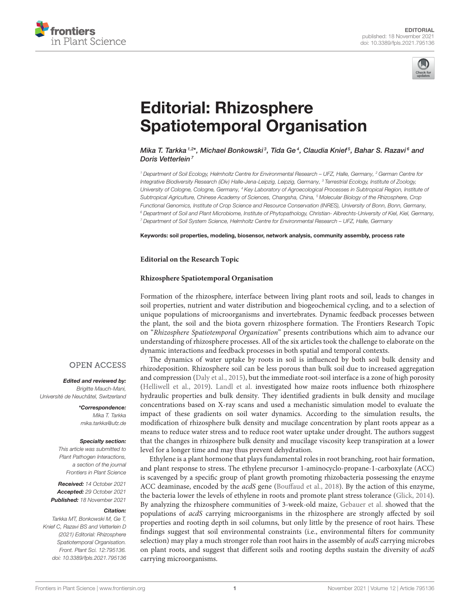



# Editorial: Rhizosphere [Spatiotemporal Organisation](https://www.frontiersin.org/articles/10.3389/fpls.2021.795136/full)

Mika T. Tarkka <sup>1,2</sup>\*, Michael Bonkowski<sup>3</sup>, Tīda Ge<sup>4</sup>, Claudia Knief<sup>5</sup>, Bahar S. Razavi<sup>6</sup> and Doris Vetterlein<sup>7</sup>

<sup>1</sup> Department of Soil Ecology, Helmholtz Centre for Environmental Research – UFZ, Halle, Germany, <sup>2</sup> German Centre for Integrative Biodiversity Research (iDiv) Halle-Jena-Leipzig, Leipzig, Germany, <sup>3</sup> Terrestrial Ecology, Institute of Zoology, University of Cologne, Cologne, Germany, <sup>4</sup> Key Laboratory of Agroecological Processes in Subtropical Region, Institute of Subtropical Agriculture, Chinese Academy of Sciences, Changsha, China, <sup>5</sup> Molecular Biology of the Rhizosphere, Crop Functional Genomics, Institute of Crop Science and Resource Conservation (INRES), University of Bonn, Bonn, Germany, <sup>6</sup> Department of Soil and Plant Microbiome, Institute of Phytopathology, Christian- Albrechts-University of Kiel, Kiel, Germany, <sup>7</sup> Department of Soil System Science, Helmholtz Centre for Environmental Research – UFZ, Halle, Germany

Keywords: soil properties, modeling, biosensor, network analysis, community assembly, process rate

**Editorial on the Research Topic**

### **[Rhizosphere Spatiotemporal Organisation](https://www.frontiersin.org/research-topics/12722/rhizosphere-spatiotemporal-organisation)**

Formation of the rhizosphere, interface between living plant roots and soil, leads to changes in soil properties, nutrient and water distribution and biogeochemical cycling, and to a selection of unique populations of microorganisms and invertebrates. Dynamic feedback processes between the plant, the soil and the biota govern rhizosphere formation. The Frontiers Research Topic on "Rhizosphere Spatiotemporal Organization" presents contributions which aim to advance our understanding of rhizosphere processes. All of the six articles took the challenge to elaborate on the dynamic interactions and feedback processes in both spatial and temporal contexts.

The dynamics of water uptake by roots in soil is influenced by both soil bulk density and rhizodeposition. Rhizosphere soil can be less porous than bulk soil due to increased aggregation and compression [\(Daly et al., 2015\)](#page-2-0), but the immediate root-soil interface is a zone of high porosity [\(Helliwell et al., 2019\)](#page-2-1). [Landl et al.](https://doi.org/10.3389/fagro.2021.622367) investigated how maize roots influence both rhizosphere hydraulic properties and bulk density. They identified gradients in bulk density and mucilage concentrations based on X-ray scans and used a mechanistic simulation model to evaluate the impact of these gradients on soil water dynamics. According to the simulation results, the modification of rhizosphere bulk density and mucilage concentration by plant roots appear as a means to reduce water stress and to reduce root water uptake under drought. The authors suggest that the changes in rhizosphere bulk density and mucilage viscosity keep transpiration at a lower level for a longer time and may thus prevent dehydration.

Ethylene is a plant hormone that plays fundamental roles in root branching, root hair formation, and plant response to stress. The ethylene precursor 1-aminocyclo-propane-1-carboxylate (ACC) is scavenged by a specific group of plant growth promoting rhizobacteria possessing the enzyme ACC deaminase, encoded by the acdS gene [\(Bouffaud et al., 2018\)](#page-2-2). By the action of this enzyme, the bacteria lower the levels of ethylene in roots and promote plant stress tolerance [\(Glick, 2014\)](#page-2-3). By analyzing the rhizosphere communities of 3-week-old maize, [Gebauer et al.](https://doi.org/10.3389/fmicb.2021.616828) showed that the populations of acdS carrying microorganisms in the rhizosphere are strongly affected by soil properties and rooting depth in soil columns, but only little by the presence of root hairs. These findings suggest that soil environmental constraints (i.e., environmental filters for community selection) may play a much stronger role than root hairs in the assembly of *acdS* carrying microbes on plant roots, and suggest that different soils and rooting depths sustain the diversity of acdS carrying microorganisms.

## **OPEN ACCESS**

Edited and reviewed by: Brigitte Mauch-Mani, Université de Neuchâtel, Switzerland

> \*Correspondence: Mika T. Tarkka [mika.tarkka@ufz.de](mailto:mika.tarkka@ufz.de)

#### Specialty section:

This article was submitted to Plant Pathogen Interactions, a section of the journal Frontiers in Plant Science

Received: 14 October 2021 Accepted: 29 October 2021 Published: 18 November 2021

#### Citation:

Tarkka MT, Bonkowski M, Ge T, Knief C, Razavi BS and Vetterlein D (2021) Editorial: Rhizosphere Spatiotemporal Organisation. Front. Plant Sci. 12:795136. doi: [10.3389/fpls.2021.795136](https://doi.org/10.3389/fpls.2021.795136)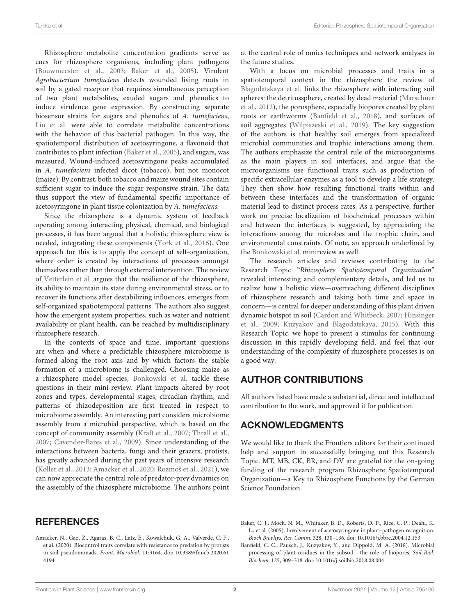Rhizosphere metabolite concentration gradients serve as cues for rhizosphere organisms, including plant pathogens [\(Bouwmeester et al., 2003;](#page-2-4) [Baker et al., 2005\)](#page-1-0). Virulent Agrobacterium tumefaciens detects wounded living roots in soil by a gated receptor that requires simultaneous perception of two plant metabolites, exuded sugars and phenolics to induce virulence gene expression. By constructing separate biosensor strains for sugars and phenolics of A. tumefaciens, [Liu et al.](https://doi.org/10.3389/fpls.2020.01074) were able to correlate metabolite concentrations with the behavior of this bacterial pathogen. In this way, the spatiotemporal distribution of acetosyringone, a flavonoid that contributes to plant infection [\(Baker et al., 2005\)](#page-1-0), and sugars, was measured. Wound-induced acetosyringone peaks accumulated in A. tumefaciens infected dicot (tobacco), but not monocot (maize). By contrast, both tobacco and maize wound sites contain sufficient sugar to induce the sugar responsive strain. The data thus support the view of fundamental specific importance of acetosyringone in plant tissue colonization by A. tumefaciens.

Since the rhizosphere is a dynamic system of feedback operating among interacting physical, chemical, and biological processes, it has been argued that a holistic rhizosphere view is needed, integrating these components [\(York et al., 2016\)](#page-2-5). One approach for this is to apply the concept of self-organization, where order is created by interactions of processes amongst themselves rather than through external intervention. The review of [Vetterlein et al.](https://doi.org/10.3389/fagro.2020.00008) argues that the resilience of the rhizosphere, its ability to maintain its state during environmental stress, or to recover its functions after destabilizing influences, emerges from self-organized spatiotemporal patterns. The authors also suggest how the emergent system properties, such as water and nutrient availability or plant health, can be reached by multidisciplinary rhizosphere research.

In the contexts of space and time, important questions are when and where a predictable rhizosphere microbiome is formed along the root axis and by which factors the stable formation of a microbiome is challenged. Choosing maize as a rhizosphere model species, [Bonkowski et al.](https://doi.org/10.3389/fmicb.2021.619499) tackle these questions in their mini-review. Plant impacts altered by root zones and types, developmental stages, circadian rhythm, and patterns of rhizodeposition are first treated in respect to microbiome assembly. An interesting part considers microbiome assembly from a microbial perspective, which is based on the concept of community assembly [\(Kraft et al., 2007;](#page-2-6) [Thrall et al.,](#page-2-7) [2007;](#page-2-7) [Cavender-Bares et al., 2009\)](#page-2-8). Since understanding of the interactions between bacteria, fungi and their grazers, protists, has greatly advanced during the past years of intensive research [\(Koller et al., 2013;](#page-2-9) [Amacker et al., 2020;](#page-1-1) [Rozmoš et al., 2021\)](#page-2-10), we can now appreciate the central role of predator-prey dynamics on the assembly of the rhizosphere microbiome. The authors point

## **REFERENCES**

<span id="page-1-1"></span>Amacker, N., Gao, Z., Agaras, B. C., Latz, E., Kowalchuk, G. A., Valverde, C. F., et al. (2020). Biocontrol traits correlate with resistance to predation by protists in soil pseudomonads. Front. Microbiol[. 11:3164. doi: 10.3389/fmicb.2020.61](https://doi.org/10.3389/fmicb.2020.614194) 4194

at the central role of omics techniques and network analyses in the future studies.

With a focus on microbial processes and traits in a spatiotemporal context in the rhizosphere the review of [Blagodatskaya et al.](https://doi.org/10.3389/fmicb.2021.625697) links the rhizosphere with interacting soil spheres: the detritussphere, created by dead material (Marschner et al., [2012\)](#page-2-11), the porosphere, especially biopores created by plant roots or earthworms [\(Banfield et al., 2018\)](#page-1-2), and surfaces of soil aggregates [\(Wilpiszeski et al., 2019\)](#page-2-12). The key suggestion of the authors is that healthy soil emerges from specialized microbial communities and trophic interactions among them. The authors emphasize the central rule of the microorganisms as the main players in soil interfaces, and argue that the microorganisms use functional traits such as production of specific extracellular enzymes as a tool to develop a life strategy. They then show how resulting functional traits within and between these interfaces and the transformation of organic material lead to distinct process rates. As a perspective, further work on precise localization of biochemical processes within and between the interfaces is suggested, by appreciating the interactions among the microbes and the trophic chain, and environmental constraints. Of note, an approach underlined by the [Bonkowski et al.](https://doi.org/10.3389/fmicb.2021.619499) minireview as well.

The research articles and reviews contributing to the Research Topic "Rhizosphere Spatiotemporal Organization" revealed interesting and complementary details, and led us to realize how a holistic view—overreaching different disciplines of rhizosphere research and taking both time and space in concern—is central for deeper understanding of this plant driven dynamic hotspot in soil [\(Cardon and Whitbeck, 2007;](#page-2-13) Hinsinger et al., [2009;](#page-2-14) [Kuzyakov and Blagodatskaya, 2015\)](#page-2-15). With this Research Topic, we hope to present a stimulus for continuing discussion in this rapidly developing field, and feel that our understanding of the complexity of rhizosphere processes is on a good way.

## AUTHOR CONTRIBUTIONS

All authors listed have made a substantial, direct and intellectual contribution to the work, and approved it for publication.

## ACKNOWLEDGMENTS

We would like to thank the Frontiers editors for their continued help and support in successfully bringing out this Research Topic. MT, MB, CK, BR, and DV are grateful for the on-going funding of the research program Rhizosphere Spatiotemporal Organization—a Key to Rhizosphere Functions by the German Science Foundation.

- <span id="page-1-0"></span>Baker, C. J., Mock, N. M., Whitaker, B. D., Roberts, D. P., Rice, C. P., Deahl, K. L., et al. (2005). Involvement of acetosyringone in plant–pathogen recognition. Bioch Biophys. Res. Comm. 328, 130–136. doi: [10.1016/j.bbrc.2004.12.153](https://doi.org/10.1016/j.bbrc.2004.12.153)
- <span id="page-1-2"></span>Banfield, C. C., Pausch, J., Kuzyakov, Y., and Dippold, M. A. (2018). Microbial processing of plant residues in the subsoil - the role of biopores. Soil Biol. Biochem. 125, 309–318. doi: [10.1016/j.soilbio.2018.08.004](https://doi.org/10.1016/j.soilbio.2018.08.004)